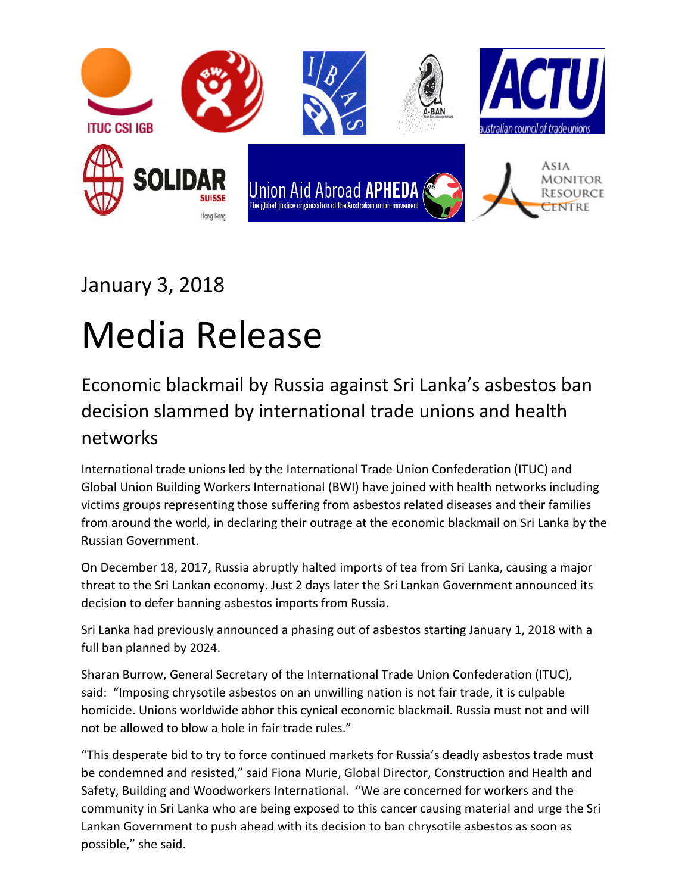

## January 3, 2018

## Media Release

## Economic blackmail by Russia against Sri Lanka's asbestos ban decision slammed by international trade unions and health networks

International trade unions led by the International Trade Union Confederation (ITUC) and Global Union Building Workers International (BWI) have joined with health networks including victims groups representing those suffering from asbestos related diseases and their families from around the world, in declaring their outrage at the economic blackmail on Sri Lanka by the Russian Government.

On December 18, 2017, Russia abruptly halted imports of tea from Sri Lanka, causing a major threat to the Sri Lankan economy. Just 2 days later the Sri Lankan Government announced its decision to defer banning asbestos imports from Russia.

Sri Lanka had previously announced a phasing out of asbestos starting January 1, 2018 with a full ban planned by 2024.

Sharan Burrow, General Secretary of the International Trade Union Confederation (ITUC), said: "Imposing chrysotile asbestos on an unwilling nation is not fair trade, it is culpable homicide. Unions worldwide abhor this cynical economic blackmail. Russia must not and will not be allowed to blow a hole in fair trade rules."

"This desperate bid to try to force continued markets for Russia's deadly asbestos trade must be condemned and resisted," said Fiona Murie, Global Director, Construction and Health and Safety, Building and Woodworkers International. "We are concerned for workers and the community in Sri Lanka who are being exposed to this cancer causing material and urge the Sri Lankan Government to push ahead with its decision to ban chrysotile asbestos as soon as possible," she said.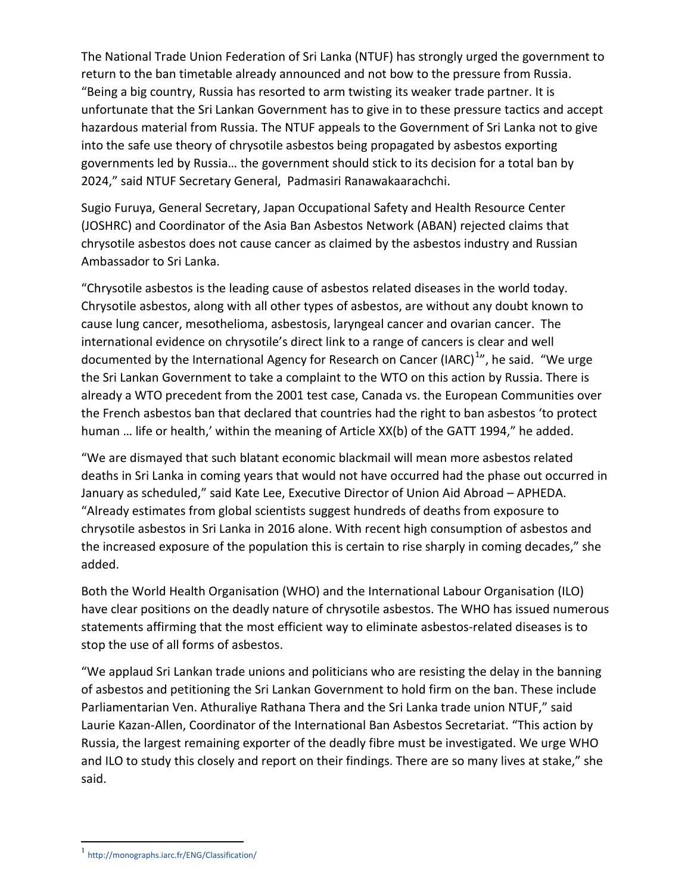The National Trade Union Federation of Sri Lanka (NTUF) has strongly urged the government to return to the ban timetable already announced and not bow to the pressure from Russia. "Being a big country, Russia has resorted to arm twisting its weaker trade partner. It is unfortunate that the Sri Lankan Government has to give in to these pressure tactics and accept hazardous material from Russia. The NTUF appeals to the Government of Sri Lanka not to give into the safe use theory of chrysotile asbestos being propagated by asbestos exporting governments led by Russia… the government should stick to its decision for a total ban by 2024," said NTUF Secretary General, Padmasiri Ranawakaarachchi.

Sugio Furuya, General Secretary, Japan Occupational Safety and Health Resource Center (JOSHRC) and Coordinator of the Asia Ban Asbestos Network (ABAN) rejected claims that chrysotile asbestos does not cause cancer as claimed by the asbestos industry and Russian Ambassador to Sri Lanka.

"Chrysotile asbestos is the leading cause of asbestos related diseases in the world today. Chrysotile asbestos, along with all other types of asbestos, are without any doubt known to cause lung cancer, mesothelioma, asbestosis, laryngeal cancer and ovarian cancer. The international evidence on chrysotile's direct link to a range of cancers is clear and well documented by the International Agency for Research on Cancer (IARC)<sup>[1](#page-1-0)</sup>", he said. "We urge the Sri Lankan Government to take a complaint to the WTO on this action by Russia. There is already a WTO precedent from the 2001 test case, Canada vs. the European Communities over the French asbestos ban that declared that countries had the right to ban asbestos 'to protect human ... life or health,' within the meaning of Article XX(b) of the GATT 1994," he added.

"We are dismayed that such blatant economic blackmail will mean more asbestos related deaths in Sri Lanka in coming years that would not have occurred had the phase out occurred in January as scheduled," said Kate Lee, Executive Director of Union Aid Abroad – APHEDA. "Already estimates from global scientists suggest hundreds of deaths from exposure to chrysotile asbestos in Sri Lanka in 2016 alone. With recent high consumption of asbestos and the increased exposure of the population this is certain to rise sharply in coming decades," she added.

Both the World Health Organisation (WHO) and the International Labour Organisation (ILO) have clear positions on the deadly nature of chrysotile asbestos. The WHO has issued numerous statements affirming that the most efficient way to eliminate asbestos-related diseases is to stop the use of all forms of asbestos.

"We applaud Sri Lankan trade unions and politicians who are resisting the delay in the banning of asbestos and petitioning the Sri Lankan Government to hold firm on the ban. These include Parliamentarian Ven. Athuraliye Rathana Thera and the Sri Lanka trade union NTUF," said Laurie Kazan-Allen, Coordinator of the International Ban Asbestos Secretariat. "This action by Russia, the largest remaining exporter of the deadly fibre must be investigated. We urge WHO and ILO to study this closely and report on their findings. There are so many lives at stake," she said.

<span id="page-1-0"></span><sup>1</sup> <http://monographs.iarc.fr/ENG/Classification/>